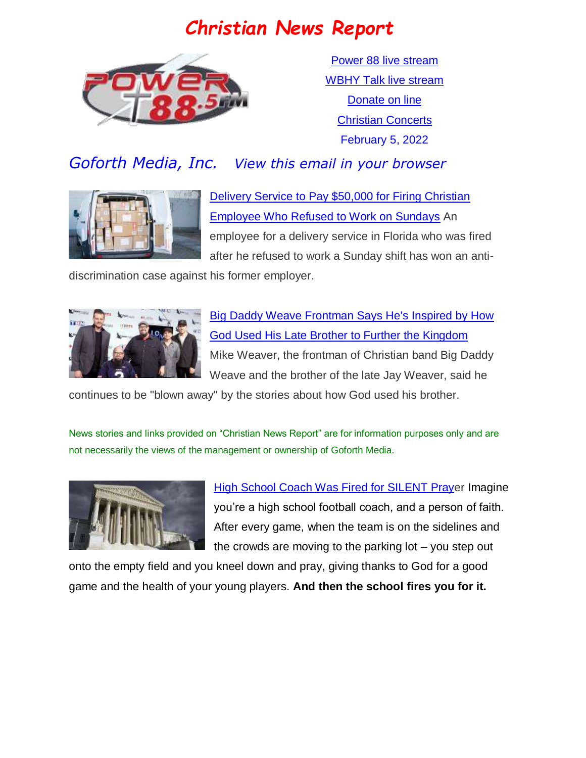# *Christian News Report*



[Power 88 live stream](https://us7.maindigitalstream.com/2920/index.php) [WBHY Talk live stream](http://148.72.155.47:8573/Ahxed5k) [Donate on line](https://forms.ministryforms.net/viewForm.aspx?formId=018b4ff7-2c2f-4f0e-8ef2-689f9601b826) [Christian Concerts](https://www.goforth.org/Concerts) February 5, 2022

## *Goforth Media, Inc. View this email in your browser*



[Delivery Service to Pay \\$50,000 for Firing Christian](https://www.christianheadlines.com/blog/delivery-service-to-pay-50000-for-firing-christian-employee-who-refused-to-work-on-sundays.html)  [Employee Who Refused to Work on Sundays](https://www.christianheadlines.com/blog/delivery-service-to-pay-50000-for-firing-christian-employee-who-refused-to-work-on-sundays.html) An employee for a delivery service in Florida who was fired after he refused to work a Sunday shift has won an anti-

discrimination case against his former employer.



[Big Daddy Weave Frontman Says He's Inspired by How](https://www.christianheadlines.com/blog/big-daddy-weave-frontman-says-hes-inspired-by-how-god-used-his-late-brother-to-further-the-kingdom.html)  [God Used His Late Brother to Further the Kingdom](https://www.christianheadlines.com/blog/big-daddy-weave-frontman-says-hes-inspired-by-how-god-used-his-late-brother-to-further-the-kingdom.html) Mike Weaver, the frontman of Christian band Big Daddy Weave and the brother of the late Jay Weaver, said he

continues to be "blown away" by the stories about how God used his brother.

News stories and links provided on "Christian News Report" are for information purposes only and are not necessarily the views of the management or ownership of Goforth Media.



[High School Coach Was Fired for SILENT Praye](https://aclj.org/religious-liberty/aclj-filing-critical-religious-liberty-amicus-brief-at-supreme-court-to-defend-high-school-coach-who-was-fired-for-silent-prayer)r Imagine you're a high school football coach, and a person of faith. After every game, when the team is on the sidelines and the crowds are moving to the parking lot – you step out

onto the empty field and you kneel down and pray, giving thanks to God for a good game and the health of your young players. **And then the school fires you for it.**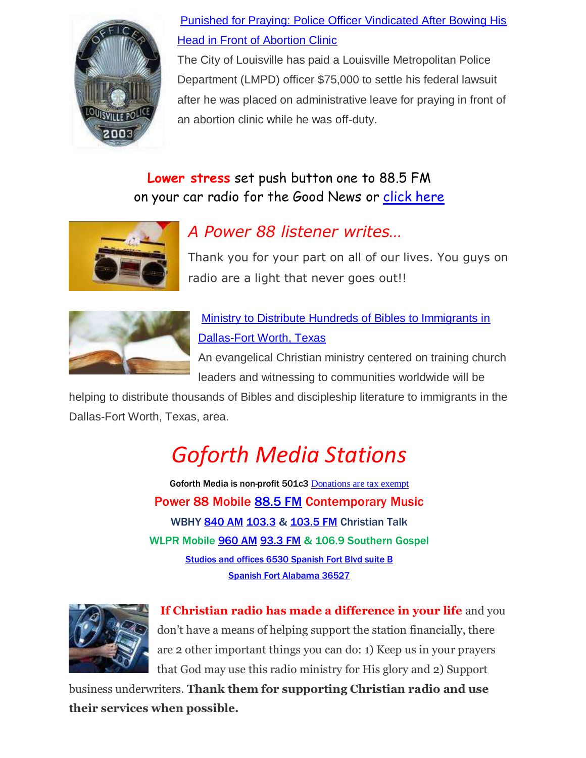

### [Punished for Praying: Police Officer Vindicated After Bowing His](https://www1.cbn.com/cbnnews/us/2022/february/punished-for-praying-police-officer-vindicated-after-bowing-his-head-in-front-of-abortion-clinic)  [Head in Front of Abortion Clinic](https://www1.cbn.com/cbnnews/us/2022/february/punished-for-praying-police-officer-vindicated-after-bowing-his-head-in-front-of-abortion-clinic)

The City of Louisville has paid a Louisville Metropolitan Police Department (LMPD) officer \$75,000 to settle his federal lawsuit after he was placed on administrative leave for praying in front of an abortion clinic while he was off-duty.

## **Lower stress** set push button one to 88.5 FM on your car radio for the Good News or [click here](https://us7.maindigitalstream.com/2920/)



# *A Power 88 listener writes…*

Thank you for your part on all of our lives. You guys on radio are a light that never goes out!!



[Ministry to Distribute Hundreds of Bibles to Immigrants in](https://www.christianpost.com/news/christian-ministry-to-give-bibles-to-immigrants-in-texas.html)  [Dallas-Fort Worth, Texas](https://www.christianpost.com/news/christian-ministry-to-give-bibles-to-immigrants-in-texas.html)

An evangelical Christian ministry centered on training church leaders and witnessing to communities worldwide will be

helping to distribute thousands of Bibles and discipleship literature to immigrants in the Dallas-Fort Worth, Texas, area.

# *Goforth Media Stations*

Goforth Media is non-profit 501c3 [Donations are tax exempt](https://forms.ministryforms.net/viewForm.aspx?formId=018b4ff7-2c2f-4f0e-8ef2-689f9601b826) Power 88 Mobile [88.5 FM](https://radio-locator.com/cgi-bin/pat?call=WBHY&service=FM) Contemporary Music WBHY [840 AM](https://radio-locator.com/cgi-bin/pat?call=WBHY&service=AM&h=D) [103.3](https://radio-locator.com/cgi-bin/pat?call=W277CS&service=FX) & [103.5 FM](https://radio-locator.com/cgi-bin/pat?call=W278AP&service=FX) Christian Talk WLPR Mobile [960 AM](https://radio-locator.com/cgi-bin/pat?call=WLPR&service=AM&h=D) [93.3 FM](https://radio-locator.com/cgi-bin/pat?call=W227DA&service=FX) & 106.9 Southern Gospel [Studios and offices 6530 Spanish Fort Blvd suite B](https://www.google.com/maps/place/Power+88+Radio/@30.667541,-87.9124627,17z/data=!3m1!4b1!4m5!3m4!1s0x889a43144093f9bd:0x8d064181e7261e9!8m2!3d30.667541!4d-87.910274) [Spanish Fort Alabama 36527](https://www.google.com/maps/place/Power+88+Radio/@30.667541,-87.9124627,17z/data=!3m1!4b1!4m5!3m4!1s0x889a43144093f9bd:0x8d064181e7261e9!8m2!3d30.667541!4d-87.910274)



**If Christian radio has made a difference in your life** and you don't have a means of helping support the station financially, there are 2 other important things you can do: 1) Keep us in your prayers that God may use this radio ministry for His glory and 2) Support

business underwriters. **Thank them for supporting Christian radio and use their services when possible.**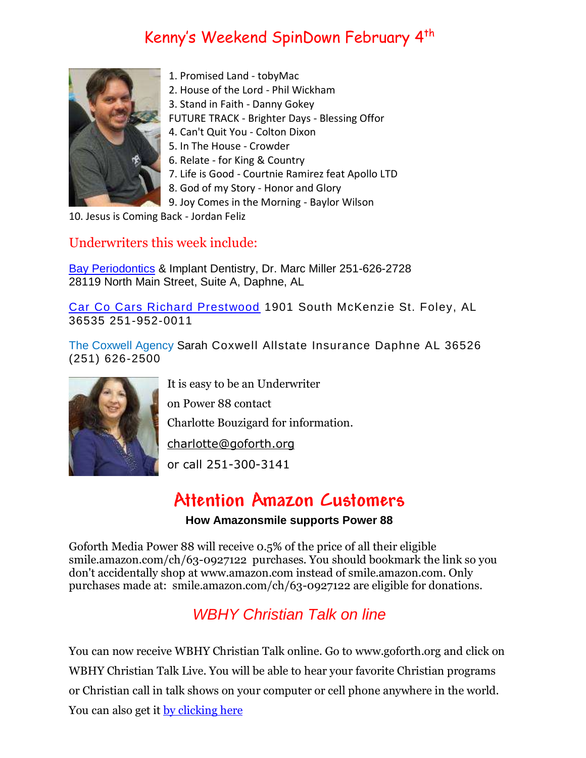# Kenny's Weekend SpinDown February 4 th



- 1. Promised Land tobyMac
- 2. House of the Lord Phil Wickham
- 3. Stand in Faith Danny Gokey

FUTURE TRACK - Brighter Days - Blessing Offor

4. Can't Quit You - Colton Dixon

- 5. In The House Crowder
- 6. Relate for King & Country
- 7. Life is Good Courtnie Ramirez feat Apollo LTD
- 8. God of my Story Honor and Glory
- 9. Joy Comes in the Morning Baylor Wilson

10. Jesus is Coming Back - Jordan Feliz

#### Underwriters this week include:

[Bay Periodontics](http://www.bayperiodontics.com/) & Implant Dentistry, Dr. Marc Miller 251-626-2728 28119 North Main Street, Suite A, Daphne, AL

[Car Co Cars Richard Prestwood](https://www.carcocars.com/) 1901 South McKenzie St. Foley, AL 36535 251-952-0011

[The Coxwell Agency](https://agents.allstate.com/the-coxwell-agency-daphne-al.html) Sarah Coxwell Allstate Insurance Daphne AL 36526 (251) 626-2500



It is easy to be an Underwriter on Power 88 contact Charlotte Bouzigard for information.

[charlotte@goforth.org](mailto:charlotte@goforth.org)

or call 251-300-3141

## **Attention Amazon Customers**

#### **How Amazonsmile supports Power 88**

Goforth Media Power 88 will receive 0.5% of the price of all their eligible [smile.amazon.com/ch/63-0927122](https://www.amazon.com/gp/r.html?C=2AU9G2CMQ9IQM&R=1QK2JMJNP3GH7&T=C&U=http%3A%2F%2Fsmile.amazon.com%2Fch%2F63-0927122&A=BCZPEIHVLV99IVSUOLG1YPFXTGWA&H=XVLELAMUAST3PRIK4CW2E8JRKTCA) purchases. You should bookmark the link so you don't accidentally shop at www.amazon.com instead of smile.amazon.com. Only purchases made at: [smile.amazon.com/ch/63-0927122](https://www.amazon.com/gp/r.html?C=2AU9G2CMQ9IQM&R=1QK2JMJNP3GH7&T=C&U=http%3A%2F%2Fsmile.amazon.com%2Fch%2F63-0927122&A=BCZPEIHVLV99IVSUOLG1YPFXTGWA&H=XVLELAMUAST3PRIK4CW2E8JRKTCA) are eligible for donations.

## *WBHY Christian Talk on line*

You can now receive WBHY Christian Talk online. Go to [www.goforth.org](http://www.goforth.org/) and click on WBHY Christian Talk Live. You will be able to hear your favorite Christian programs or Christian call in talk shows on your computer or cell phone anywhere in the world. You can also get it [by clicking here](http://148.72.155.47:8573/Ahxed5k)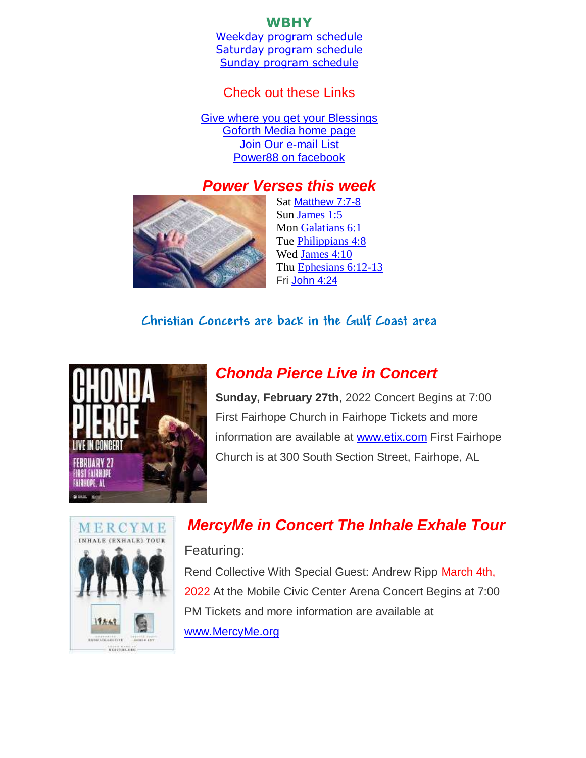#### **WBHY**

[Weekday program schedule](https://goforth.schoolinsites.com/dailyprogramschedule) [Saturday program schedule](https://goforth.schoolinsites.com/saturdayprogramschedule) [Sunday program schedule](https://goforth.schoolinsites.com/sundayprogramschedule)

#### Check out these Links

[Give where you get your Blessings](https://forms.ministryforms.net/viewForm.aspx?formId=018b4ff7-2c2f-4f0e-8ef2-689f9601b826) [Goforth Media home page](http://www.goforth.org/) [Join Our e-mail List](http://user.goforth.org/mail-form/mail_form.htm) [Power88 on facebook](http://www.facebook.com/Power88fm)

### *Power Verses this week*



Sat [Matthew 7:7-8](https://www.biblegateway.com/passage/?search=Matthew%207:7-8&version=niv) Sun [James 1:5](https://www.biblegateway.com/passage/?search=James%201:5&version=niv) Mon [Galatians 6:1](https://www.biblegateway.com/passage/?search=Galatians%206:1&version=niv) Tue [Philippians 4:8](https://www.biblegateway.com/passage/?search=Philippians%204:8&version=niv) Wed [James 4:10](https://www.biblegateway.com/passage/?search=James%204:10&version=niv) Thu [Ephesians 6:12-13](https://www.biblegateway.com/passage/?search=Ephesians%206:12-13&version=niv) Fri [John 4:24](https://www.biblegateway.com/passage/?search=John%204:24&version=niv)

#### **Christian Concerts are back in the [Gulf Coast](https://goforth.schoolinsites.com/Concerts) area**



## *Chonda Pierce Live in Concert*

**Sunday, February 27th**, 2022 Concert Begins at 7:00 First Fairhope Church in Fairhope Tickets and more information are available at [www.etix.com](http://www.etix.com/) First Fairhope Church is at 300 South Section Street, Fairhope, AL



# *MercyMe in Concert The Inhale Exhale Tour*

#### Featuring:

Rend Collective With Special Guest: Andrew Ripp March 4th, 2022 At the Mobile Civic Center Arena Concert Begins at 7:00 PM Tickets and more information are available at [www.MercyMe.org](http://www.mercyme.org/)